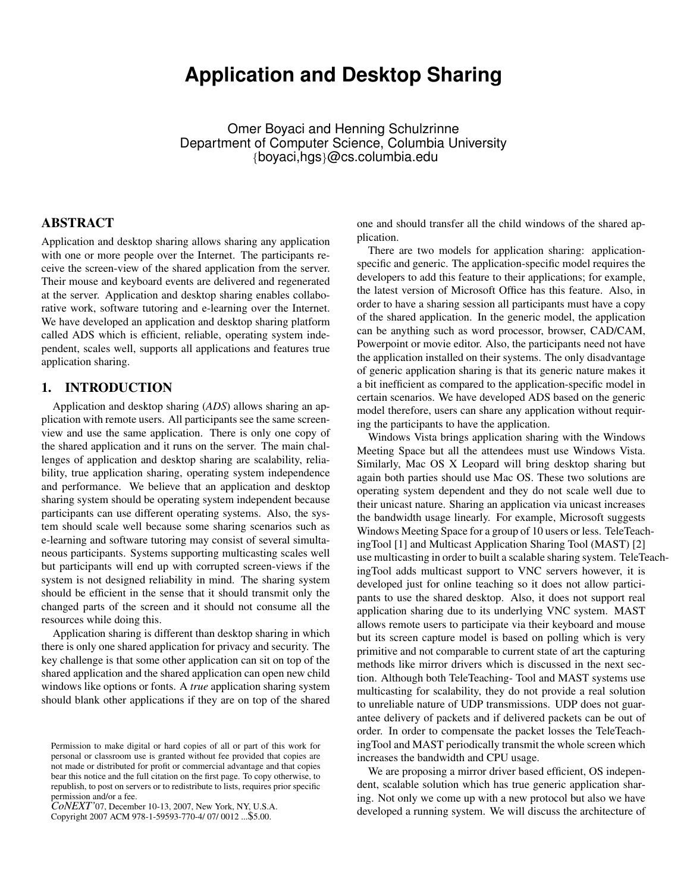# **Application and Desktop Sharing**

Omer Boyaci and Henning Schulzrinne Department of Computer Science, Columbia University {boyaci,hgs}@cs.columbia.edu

## ABSTRACT

Application and desktop sharing allows sharing any application with one or more people over the Internet. The participants receive the screen-view of the shared application from the server. Their mouse and keyboard events are delivered and regenerated at the server. Application and desktop sharing enables collaborative work, software tutoring and e-learning over the Internet. We have developed an application and desktop sharing platform called ADS which is efficient, reliable, operating system independent, scales well, supports all applications and features true application sharing.

## 1. INTRODUCTION

Application and desktop sharing (*ADS*) allows sharing an application with remote users. All participants see the same screenview and use the same application. There is only one copy of the shared application and it runs on the server. The main challenges of application and desktop sharing are scalability, reliability, true application sharing, operating system independence and performance. We believe that an application and desktop sharing system should be operating system independent because participants can use different operating systems. Also, the system should scale well because some sharing scenarios such as e-learning and software tutoring may consist of several simultaneous participants. Systems supporting multicasting scales well but participants will end up with corrupted screen-views if the system is not designed reliability in mind. The sharing system should be efficient in the sense that it should transmit only the changed parts of the screen and it should not consume all the resources while doing this.

Application sharing is different than desktop sharing in which there is only one shared application for privacy and security. The key challenge is that some other application can sit on top of the shared application and the shared application can open new child windows like options or fonts. A *true* application sharing system should blank other applications if they are on top of the shared

*CoNEXT'*07, December 10-13, 2007, New York, NY, U.S.A.

Copyright 2007 ACM 978-1-59593-770-4/ 07/ 0012 ...\$5.00.

one and should transfer all the child windows of the shared application.

There are two models for application sharing: applicationspecific and generic. The application-specific model requires the developers to add this feature to their applications; for example, the latest version of Microsoft Office has this feature. Also, in order to have a sharing session all participants must have a copy of the shared application. In the generic model, the application can be anything such as word processor, browser, CAD/CAM, Powerpoint or movie editor. Also, the participants need not have the application installed on their systems. The only disadvantage of generic application sharing is that its generic nature makes it a bit inefficient as compared to the application-specific model in certain scenarios. We have developed ADS based on the generic model therefore, users can share any application without requiring the participants to have the application.

Windows Vista brings application sharing with the Windows Meeting Space but all the attendees must use Windows Vista. Similarly, Mac OS X Leopard will bring desktop sharing but again both parties should use Mac OS. These two solutions are operating system dependent and they do not scale well due to their unicast nature. Sharing an application via unicast increases the bandwidth usage linearly. For example, Microsoft suggests Windows Meeting Space for a group of 10 users or less. TeleTeachingTool [1] and Multicast Application Sharing Tool (MAST) [2] use multicasting in order to built a scalable sharing system. TeleTeachingTool adds multicast support to VNC servers however, it is developed just for online teaching so it does not allow participants to use the shared desktop. Also, it does not support real application sharing due to its underlying VNC system. MAST allows remote users to participate via their keyboard and mouse but its screen capture model is based on polling which is very primitive and not comparable to current state of art the capturing methods like mirror drivers which is discussed in the next section. Although both TeleTeaching- Tool and MAST systems use multicasting for scalability, they do not provide a real solution to unreliable nature of UDP transmissions. UDP does not guarantee delivery of packets and if delivered packets can be out of order. In order to compensate the packet losses the TeleTeachingTool and MAST periodically transmit the whole screen which increases the bandwidth and CPU usage.

We are proposing a mirror driver based efficient, OS independent, scalable solution which has true generic application sharing. Not only we come up with a new protocol but also we have developed a running system. We will discuss the architecture of

Permission to make digital or hard copies of all or part of this work for personal or classroom use is granted without fee provided that copies are not made or distributed for profit or commercial advantage and that copies bear this notice and the full citation on the first page. To copy otherwise, to republish, to post on servers or to redistribute to lists, requires prior specific permission and/or a fee.